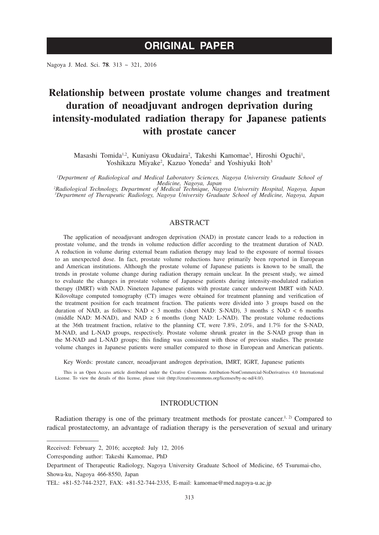Nagoya J. Med. Sci. **78**. 313 ~ 321, 2016

# **Relationship between prostate volume changes and treatment duration of neoadjuvant androgen deprivation during intensity-modulated radiation therapy for Japanese patients with prostate cancer**

Masashi Tomida<sup>1,2</sup>, Kuniyasu Okudaira<sup>2</sup>, Takeshi Kamomae<sup>3</sup>, Hiroshi Oguchi<sup>1</sup>, Yoshikazu Miyake<sup>2</sup>, Kazuo Yoneda<sup>2</sup> and Yoshiyuki Itoh<sup>3</sup>

*1 Department of Radiological and Medical Laboratory Sciences, Nagoya University Graduate School of* 

Medicine, Nagoya, Japan<br>Adiological Technology, Department of Medical Technique, Nagoya University Hospital, Nagoya, Japan?<br>Department of Therapeutic Radiology, Nagoya University Graduate School of Medicine, Nagoya, Japan?

## ABSTRACT

The application of neoadjuvant androgen deprivation (NAD) in prostate cancer leads to a reduction in prostate volume, and the trends in volume reduction differ according to the treatment duration of NAD. A reduction in volume during external beam radiation therapy may lead to the exposure of normal tissues to an unexpected dose. In fact, prostate volume reductions have primarily been reported in European and American institutions. Although the prostate volume of Japanese patients is known to be small, the trends in prostate volume change during radiation therapy remain unclear. In the present study, we aimed to evaluate the changes in prostate volume of Japanese patients during intensity-modulated radiation therapy (IMRT) with NAD. Nineteen Japanese patients with prostate cancer underwent IMRT with NAD. Kilovoltage computed tomography (CT) images were obtained for treatment planning and verification of the treatment position for each treatment fraction. The patients were divided into 3 groups based on the duration of NAD, as follows: NAD < 3 months (short NAD: S-NAD), 3 months ≤ NAD < 6 months (middle NAD: M-NAD), and NAD  $\geq 6$  months (long NAD: L-NAD). The prostate volume reductions at the 36th treatment fraction, relative to the planning CT, were 7.8%, 2.0%, and 1.7% for the S-NAD, M-NAD, and L-NAD groups, respectively. Prostate volume shrunk greater in the S-NAD group than in the M-NAD and L-NAD groups; this finding was consistent with those of previous studies. The prostate volume changes in Japanese patients were smaller compared to those in European and American patients.

Key Words: prostate cancer, neoadjuvant androgen deprivation, IMRT, IGRT, Japanese patients

This is an Open Access article distributed under the Creative Commons Attribution-NonCommercial-NoDerivatives 4.0 International License. To view the details of this license, please visit (http://creativecommons.org/licenses/by-nc-nd/4.0/).

## INTRODUCTION

Radiation therapy is one of the primary treatment methods for prostate cancer.<sup>1, 2)</sup> Compared to radical prostatectomy, an advantage of radiation therapy is the perseveration of sexual and urinary

Received: February 2, 2016; accepted: July 12, 2016

Corresponding author: Takeshi Kamomae, PhD

Department of Therapeutic Radiology, Nagoya University Graduate School of Medicine, 65 Tsurumai-cho, Showa-ku, Nagoya 466-8550, Japan

TEL: +81-52-744-2327, FAX: +81-52-744-2335, E-mail: kamomae@med.nagoya-u.ac.jp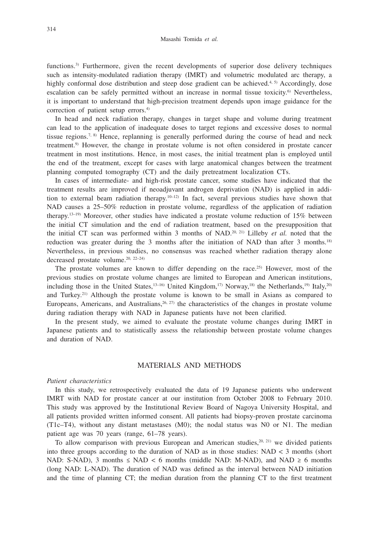functions.<sup>3)</sup> Furthermore, given the recent developments of superior dose delivery techniques such as intensity-modulated radiation therapy (IMRT) and volumetric modulated arc therapy, a highly conformal dose distribution and steep dose gradient can be achieved.<sup>4, 5)</sup> Accordingly, dose escalation can be safely permitted without an increase in normal tissue toxicity.<sup>6)</sup> Nevertheless, it is important to understand that high-precision treatment depends upon image guidance for the correction of patient setup errors.<sup>4)</sup>

In head and neck radiation therapy, changes in target shape and volume during treatment can lead to the application of inadequate doses to target regions and excessive doses to normal tissue regions.<sup>7, 8)</sup> Hence, replanning is generally performed during the course of head and neck treatment.9) However, the change in prostate volume is not often considered in prostate cancer treatment in most institutions. Hence, in most cases, the initial treatment plan is employed until the end of the treatment, except for cases with large anatomical changes between the treatment planning computed tomography (CT) and the daily pretreatment localization CTs.

In cases of intermediate- and high-risk prostate cancer, some studies have indicated that the treatment results are improved if neoadjuvant androgen deprivation (NAD) is applied in addition to external beam radiation therapy.<sup>10–12)</sup> In fact, several previous studies have shown that NAD causes a 25–50% reduction in prostate volume, regardless of the application of radiation therapy.<sup>13–19)</sup> Moreover, other studies have indicated a prostate volume reduction of 15% between the initial CT simulation and the end of radiation treatment, based on the presupposition that the initial CT scan was performed within 3 months of NAD.<sup>20, 21)</sup> Lilleby *et al.* noted that the reduction was greater during the 3 months after the initiation of NAD than after 3 months.<sup>18)</sup> Nevertheless, in previous studies, no consensus was reached whether radiation therapy alone decreased prostate volume.<sup>20, 22-24)</sup>

The prostate volumes are known to differ depending on the race.25) However, most of the previous studies on prostate volume changes are limited to European and American institutions, including those in the United States, $13-16$ ) United Kingdom, $17$ ) Norway, $18$ ) the Netherlands, $19$ ) Italy, $20$ and Turkey.21) Although the prostate volume is known to be small in Asians as compared to Europeans, Americans, and Australians,  $26$ ,  $27$ ) the characteristics of the changes in prostate volume during radiation therapy with NAD in Japanese patients have not been clarified.

In the present study, we aimed to evaluate the prostate volume changes during IMRT in Japanese patients and to statistically assess the relationship between prostate volume changes and duration of NAD.

# MATERIALS AND METHODS

## *Patient characteristics*

In this study, we retrospectively evaluated the data of 19 Japanese patients who underwent IMRT with NAD for prostate cancer at our institution from October 2008 to February 2010. This study was approved by the Institutional Review Board of Nagoya University Hospital, and all patients provided written informed consent. All patients had biopsy-proven prostate carcinoma (T1c–T4), without any distant metastases (M0); the nodal status was N0 or N1. The median patient age was 70 years (range, 61–78 years).

To allow comparison with previous European and American studies, $20, 21$ ) we divided patients into three groups according to the duration of NAD as in those studies:  $NAD < 3$  months (short NAD: S-NAD), 3 months  $\leq$  NAD  $\lt$  6 months (middle NAD: M-NAD), and NAD  $\geq$  6 months (long NAD: L-NAD). The duration of NAD was defined as the interval between NAD initiation and the time of planning CT; the median duration from the planning CT to the first treatment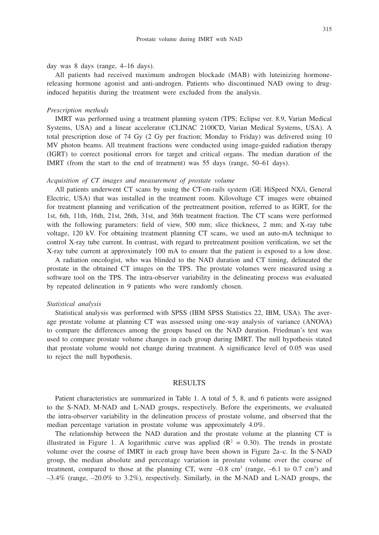day was 8 days (range, 4–16 days).

All patients had received maximum androgen blockade (MAB) with luteinizing hormonereleasing hormone agonist and anti-androgen. Patients who discontinued NAD owing to druginduced hepatitis during the treatment were excluded from the analysis.

#### *Prescription methods*

IMRT was performed using a treatment planning system (TPS; Eclipse ver. 8.9, Varian Medical Systems, USA) and a linear accelerator (CLINAC 2100CD, Varian Medical Systems, USA). A total prescription dose of 74 Gy (2 Gy per fraction; Monday to Friday) was delivered using 10 MV photon beams. All treatment fractions were conducted using image-guided radiation therapy (IGRT) to correct positional errors for target and critical organs. The median duration of the IMRT (from the start to the end of treatment) was 55 days (range, 50–61 days).

#### *Acquisition of CT images and measurement of prostate volume*

All patients underwent CT scans by using the CT-on-rails system (GE HiSpeed NX/i, General Electric, USA) that was installed in the treatment room. Kilovoltage CT images were obtained for treatment planning and verification of the pretreatment position, referred to as IGRT, for the 1st, 6th, 11th, 16th, 21st, 26th, 31st, and 36th treatment fraction. The CT scans were performed with the following parameters: field of view, 500 mm; slice thickness, 2 mm; and X-ray tube voltage, 120 kV. For obtaining treatment planning CT scans, we used an auto-mA technique to control X-ray tube current. In contrast, with regard to pretreatment position verification, we set the X-ray tube current at approximately 100 mA to ensure that the patient is exposed to a low dose.

A radiation oncologist, who was blinded to the NAD duration and CT timing, delineated the prostate in the obtained CT images on the TPS. The prostate volumes were measured using a software tool on the TPS. The intra-observer variability in the delineating process was evaluated by repeated delineation in 9 patients who were randomly chosen.

### *Statistical analysis*

Statistical analysis was performed with SPSS (IBM SPSS Statistics 22, IBM, USA). The average prostate volume at planning CT was assessed using one-way analysis of variance (ANOVA) to compare the differences among the groups based on the NAD duration. Friedman's test was used to compare prostate volume changes in each group during IMRT. The null hypothesis stated that prostate volume would not change during treatment. A significance level of 0.05 was used to reject the null hypothesis.

#### RESULTS

Patient characteristics are summarized in Table 1. A total of 5, 8, and 6 patients were assigned to the S-NAD, M-NAD and L-NAD groups, respectively. Before the experiments, we evaluated the intra-observer variability in the delineation process of prostate volume, and observed that the median percentage variation in prostate volume was approximately 4.0%.

The relationship between the NAD duration and the prostate volume at the planning CT is illustrated in Figure 1. A logarithmic curve was applied  $(R^2 = 0.30)$ . The trends in prostate volume over the course of IMRT in each group have been shown in Figure 2a–c. In the S-NAD group, the median absolute and percentage variation in prostate volume over the course of treatment, compared to those at the planning CT, were  $-0.8 \text{ cm}^3$  (range,  $-6.1 \text{ to } 0.7 \text{ cm}^3$ ) and  $-3.4\%$  (range,  $-20.0\%$  to  $3.2\%$ ), respectively. Similarly, in the M-NAD and L-NAD groups, the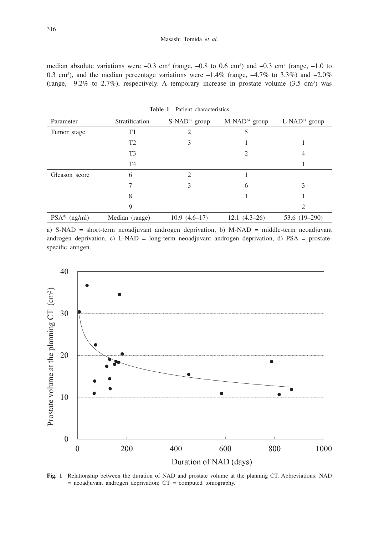median absolute variations were  $-0.3 \text{ cm}^3$  (range,  $-0.8 \text{ to } 0.6 \text{ cm}^3$ ) and  $-0.3 \text{ cm}^3$  (range,  $-1.0 \text{ to }$ 0.3 cm<sup>3</sup>), and the median percentage variations were  $-1.4\%$  (range,  $-4.7\%$  to 3.3%) and  $-2.0\%$ (range,  $-9.2\%$  to 2.7%), respectively. A temporary increase in prostate volume (3.5 cm<sup>3</sup>) was

| Parameter       | Stratification | S-NAD <sup>a)</sup> group | M-NAD <sup>b)</sup> group | $L\text{-NAD}^{c}$ group |  |
|-----------------|----------------|---------------------------|---------------------------|--------------------------|--|
| Tumor stage     | T1             |                           |                           |                          |  |
|                 | T <sub>2</sub> | 3                         |                           |                          |  |
|                 | T <sub>3</sub> |                           | 2                         | 4                        |  |
|                 | T <sub>4</sub> |                           |                           |                          |  |
| Gleason score   | 6              | ာ                         |                           |                          |  |
|                 |                | 3                         | 6                         | 3                        |  |
|                 | 8              |                           |                           |                          |  |
|                 | 9              |                           |                           | っ                        |  |
| $PSAd)$ (ng/ml) | Median (range) | $10.9(4.6-17)$            | $12.1(4.3-26)$            | 53.6 (19-290)            |  |

**Table 1** Patient characteristics

a) S-NAD = short-term neoadjuvant androgen deprivation, b) M-NAD = middle-term neoadjuvant androgen deprivation, c) L-NAD = long-term neoadjuvant androgen deprivation, d)  $PSA =$  prostatespecific antigen.



**Fig. 1** Relationship between the duration of NAD and prostate volume at the planning CT. Abbreviations: NAD  $=$  neoadjuvant androgen deprivation;  $CT =$  computed tomography.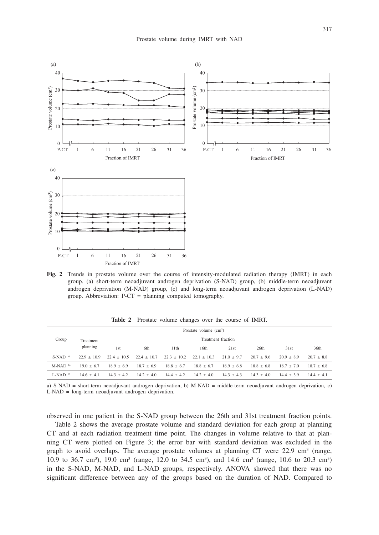

**Fig. 2** Trends in prostate volume over the course of intensity-modulated radiation therapy (IMRT) in each group. (a) short-term neoadjuvant androgen deprivation (S-NAD) group, (b) middle-term neoadjuvant androgen deprivation (M-NAD) group, (c) and long-term neoadjuvant androgen deprivation (L-NAD) group. Abbreviation: P-CT = planning computed tomography.

| Group                 | Prostate volume $(cm3)$ |                    |                 |               |                 |              |              |              |              |  |
|-----------------------|-------------------------|--------------------|-----------------|---------------|-----------------|--------------|--------------|--------------|--------------|--|
|                       | Treatment<br>planning   | Treatment fraction |                 |               |                 |              |              |              |              |  |
|                       |                         | 1st                | 6th             | 11th          | 16th            | 21st         | 26th         | 31st         | 36th         |  |
| $S-NAD$ <sup>a)</sup> | $22.9 + 10.9$           | $22.4 + 10.5$      | $22.4 \pm 10.7$ | $22.3 + 10.2$ | $22.1 \pm 10.3$ | $21.0 + 9.7$ | $20.7 + 9.6$ | $20.9 + 8.9$ | $20.7 + 8.8$ |  |
| $M-NAD$ b)            | $19.0 + 6.7$            | $18.9 + 6.9$       | $18.7 + 6.9$    | $18.8 + 6.7$  | $18.8 + 6.7$    | $18.9 + 6.8$ | $18.8 + 6.8$ | $18.7 + 7.0$ | $18.7 + 6.8$ |  |
| $L-NAD$ <sup>c)</sup> | $14.6 + 4.1$            | $14.3 + 4.2$       | $14.2 + 4.0$    | $14.4 + 4.2$  | $14.2 + 4.0$    | $14.3 + 4.3$ | $14.3 + 4.0$ | $14.4 + 3.9$ | $14.4 + 4.1$ |  |

**Table 2** Prostate volume changes over the course of IMRT.

a) S-NAD = short-term neoadjuvant androgen deprivation, b) M-NAD = middle-term neoadjuvant androgen deprivation, c) L-NAD = long-term neoadjuvant androgen deprivation.

observed in one patient in the S-NAD group between the 26th and 31st treatment fraction points.

Table 2 shows the average prostate volume and standard deviation for each group at planning CT and at each radiation treatment time point. The changes in volume relative to that at planning CT were plotted on Figure 3; the error bar with standard deviation was excluded in the graph to avoid overlaps. The average prostate volumes at planning  $CT$  were 22.9 cm<sup>3</sup> (range, 10.9 to 36.7 cm<sup>3</sup>), 19.0 cm<sup>3</sup> (range, 12.0 to 34.5 cm<sup>3</sup>), and 14.6 cm<sup>3</sup> (range, 10.6 to 20.3 cm<sup>3</sup>) in the S-NAD, M-NAD, and L-NAD groups, respectively. ANOVA showed that there was no significant difference between any of the groups based on the duration of NAD. Compared to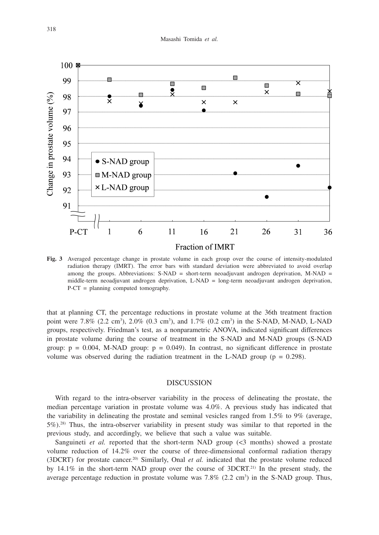

**Fig. 3** Averaged percentage change in prostate volume in each group over the course of intensity-modulated radiation therapy (IMRT). The error bars with standard deviation were abbreviated to avoid overlap among the groups. Abbreviations:  $S-NAD = short-term neoadjuvant androgen deprivation, M-NAD =$ middle-term neoadjuvant androgen deprivation, L-NAD = long-term neoadjuvant androgen deprivation, P-CT = planning computed tomography.

that at planning CT, the percentage reductions in prostate volume at the 36th treatment fraction point were 7.8% (2.2 cm<sup>3</sup>), 2.0% (0.3 cm<sup>3</sup>), and 1.7% (0.2 cm<sup>3</sup>) in the S-NAD, M-NAD, L-NAD groups, respectively. Friedman's test, as a nonparametric ANOVA, indicated significant differences in prostate volume during the course of treatment in the S-NAD and M-NAD groups (S-NAD group:  $p = 0.004$ , M-NAD group:  $p = 0.049$ ). In contrast, no significant difference in prostate volume was observed during the radiation treatment in the L-NAD group ( $p = 0.298$ ).

## **DISCUSSION**

With regard to the intra-observer variability in the process of delineating the prostate, the median percentage variation in prostate volume was 4.0%. A previous study has indicated that the variability in delineating the prostate and seminal vesicles ranged from 1.5% to 9% (average,  $5\%$ ).<sup>28)</sup> Thus, the intra-observer variability in present study was similar to that reported in the previous study, and accordingly, we believe that such a value was suitable.

Sanguineti *et al.* reported that the short-term NAD group (<3 months) showed a prostate volume reduction of 14.2% over the course of three-dimensional conformal radiation therapy (3DCRT) for prostate cancer.20) Similarly, Onal *et al.* indicated that the prostate volume reduced by  $14.1\%$  in the short-term NAD group over the course of 3DCRT.<sup>21)</sup> In the present study, the average percentage reduction in prostate volume was  $7.8\%$  (2.2 cm<sup>3</sup>) in the S-NAD group. Thus,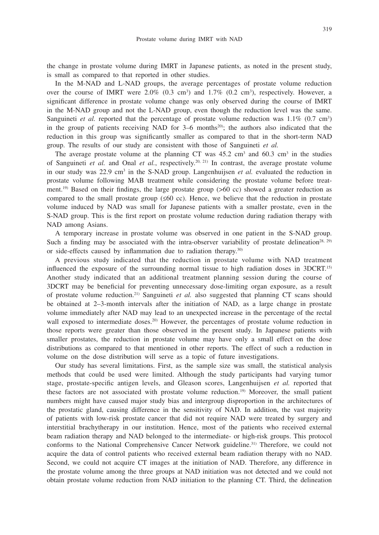the change in prostate volume during IMRT in Japanese patients, as noted in the present study, is small as compared to that reported in other studies.

In the M-NAD and L-NAD groups, the average percentages of prostate volume reduction over the course of IMRT were  $2.0\%$  (0.3 cm<sup>3</sup>) and  $1.7\%$  (0.2 cm<sup>3</sup>), respectively. However, a significant difference in prostate volume change was only observed during the course of IMRT in the M-NAD group and not the L-NAD group, even though the reduction level was the same. Sanguineti *et al.* reported that the percentage of prostate volume reduction was  $1.1\%$  (0.7 cm<sup>3</sup>) in the group of patients receiving NAD for  $3-6$  months<sup>20</sup>; the authors also indicated that the reduction in this group was significantly smaller as compared to that in the short-term NAD group. The results of our study are consistent with those of Sanguineti *et al.*

The average prostate volume at the planning CT was  $45.2 \text{ cm}^3$  and  $60.3 \text{ cm}^3$  in the studies of Sanguineti *et al.* and Onal *et al.*, respectively.20, 21) In contrast, the average prostate volume in our study was  $22.9 \text{ cm}^3$  in the S-NAD group. Langenhuijsen *et al.* evaluated the reduction in prostate volume following MAB treatment while considering the prostate volume before treatment.<sup>19)</sup> Based on their findings, the large prostate group  $(560 \text{ cc})$  showed a greater reduction as compared to the small prostate group  $(\leq 60 \text{ cc})$ . Hence, we believe that the reduction in prostate volume induced by NAD was small for Japanese patients with a smaller prostate, even in the S-NAD group. This is the first report on prostate volume reduction during radiation therapy with NAD among Asians.

A temporary increase in prostate volume was observed in one patient in the S-NAD group. Such a finding may be associated with the intra-observer variability of prostate delineation<sup>28, 29)</sup> or side-effects caused by inflammation due to radiation therapy.30)

A previous study indicated that the reduction in prostate volume with NAD treatment influenced the exposure of the surrounding normal tissue to high radiation doses in 3DCRT.15) Another study indicated that an additional treatment planning session during the course of 3DCRT may be beneficial for preventing unnecessary dose-limiting organ exposure, as a result of prostate volume reduction.21) Sanguineti *et al.* also suggested that planning CT scans should be obtained at 2–3-month intervals after the initiation of NAD, as a large change in prostate volume immediately after NAD may lead to an unexpected increase in the percentage of the rectal wall exposed to intermediate doses.<sup>20)</sup> However, the percentages of prostate volume reduction in those reports were greater than those observed in the present study. In Japanese patients with smaller prostates, the reduction in prostate volume may have only a small effect on the dose distributions as compared to that mentioned in other reports. The effect of such a reduction in volume on the dose distribution will serve as a topic of future investigations.

Our study has several limitations. First, as the sample size was small, the statistical analysis methods that could be used were limited. Although the study participants had varying tumor stage, prostate-specific antigen levels, and Gleason scores, Langenhuijsen *et al.* reported that these factors are not associated with prostate volume reduction.<sup>19)</sup> Moreover, the small patient numbers might have caused major study bias and intergroup disproportion in the architectures of the prostatic gland, causing difference in the sensitivity of NAD. In addition, the vast majority of patients with low-risk prostate cancer that did not require NAD were treated by surgery and interstitial brachytherapy in our institution. Hence, most of the patients who received external beam radiation therapy and NAD belonged to the intermediate- or high-risk groups. This protocol conforms to the National Comprehensive Cancer Network guideline.31) Therefore, we could not acquire the data of control patients who received external beam radiation therapy with no NAD. Second, we could not acquire CT images at the initiation of NAD. Therefore, any difference in the prostate volume among the three groups at NAD initiation was not detected and we could not obtain prostate volume reduction from NAD initiation to the planning CT. Third, the delineation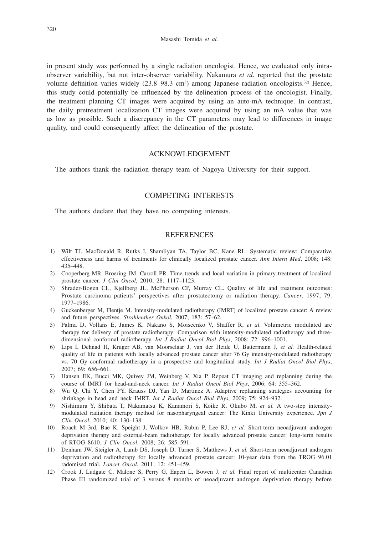in present study was performed by a single radiation oncologist. Hence, we evaluated only intraobserver variability, but not inter-observer variability. Nakamura *et al.* reported that the prostate volume definition varies widely  $(23.8-98.3 \text{ cm}^3)$  among Japanese radiation oncologists.<sup>32)</sup> Hence, this study could potentially be influenced by the delineation process of the oncologist. Finally, the treatment planning CT images were acquired by using an auto-mA technique. In contrast, the daily pretreatment localization CT images were acquired by using an mA value that was as low as possible. Such a discrepancy in the CT parameters may lead to differences in image quality, and could consequently affect the delineation of the prostate.

# ACKNOWLEDGEMENT

The authors thank the radiation therapy team of Nagoya University for their support.

## COMPETING INTERESTS

The authors declare that they have no competing interests.

## **REFERENCES**

- 1) Wilt TJ, MacDonald R, Rutks I, Shamliyan TA, Taylor BC, Kane RL. Systematic review: Comparative effectiveness and harms of treatments for clinically localized prostate cancer. *Ann Intern Med*, 2008; 148: 435–448.
- 2) Cooperberg MR, Broering JM, Carroll PR. Time trends and local variation in primary treatment of localized prostate cancer. *J Clin Oncol*, 2010; 28: 1117–1123.
- 3) Shrader-Bogen CL, Kjellberg JL, McPherson CP, Murray CL. Quality of life and treatment outcomes: Prostate carcinoma patients' perspectives after prostatectomy or radiation therapy. *Cancer*, 1997; 79: 1977–1986.
- 4) Guckenberger M, Flentje M. Intensity-modulated radiotherapy (IMRT) of localized prostate cancer: A review and future perspectives. *Strahlenther Onkol*, 2007; 183: 57–62.
- 5) Palma D, Vollans E, James K, Nakano S, Moiseenko V, Shaffer R, *et al.* Volumetric modulated arc therapy for delivery of prostate radiotherapy: Comparison with intensity-modulated radiotherapy and threedimensional conformal radiotherapy. *Int J Radiat Oncol Biol Phys*, 2008; 72: 996–1001.
- 6) Lips I, Dehnad H, Kruger AB, van Moorselaar J, van der Heide U, Battermann J, *et al.* Health-related quality of life in patients with locally advanced prostate cancer after 76 Gy intensity-modulated radiotherapy vs. 70 Gy conformal radiotherapy in a prospective and longitudinal study. *Int J Radiat Oncol Biol Phys*, 2007; 69: 656–661.
- 7) Hansen EK, Bucci MK, Quivey JM, Weinberg V, Xia P. Repeat CT imaging and replanning during the course of IMRT for head-and-neck cancer. *Int J Radiat Oncol Biol Phys*, 2006; 64: 355–362.
- 8) Wu Q, Chi Y, Chen PY, Krauss DJ, Yan D, Martinez A. Adaptive replanning strategies accounting for shrinkage in head and neck IMRT. *Int J Radiat Oncol Biol Phys*, 2009; 75: 924–932.
- 9) Nishimura Y, Shibata T, Nakamatsu K, Kanamori S, Koike R, Okubo M, *et al.* A two-step intensitymodulated radiation therapy method for nasopharyngeal cancer: The Kinki University experience. *Jpn J Clin Oncol*, 2010; 40: 130–138.
- 10) Roach M 3rd, Bae K, Speight J, Wolkov HB, Rubin P, Lee RJ, *et al.* Short-term neoadjuvant androgen deprivation therapy and external-beam radiotherapy for locally advanced prostate cancer: long-term results of RTOG 8610. *J Clin Oncol*, 2008; 26: 585–591.
- 11) Denham JW, Steigler A, Lamb DS, Joseph D, Turner S, Matthews J, *et al.* Short-term neoadjuvant androgen deprivation and radiotherapy for locally advanced prostate cancer: 10-year data from the TROG 96.01 radomised trial. *Lancet Oncol*. 2011; 12: 451–459.
- 12) Crook J, Ludgate C, Malone S, Perry G, Eapen L, Bowen J, *et al.* Final report of multicenter Canadian Phase III randomized trial of 3 versus 8 months of neoadjuvant androgen deprivation therapy before